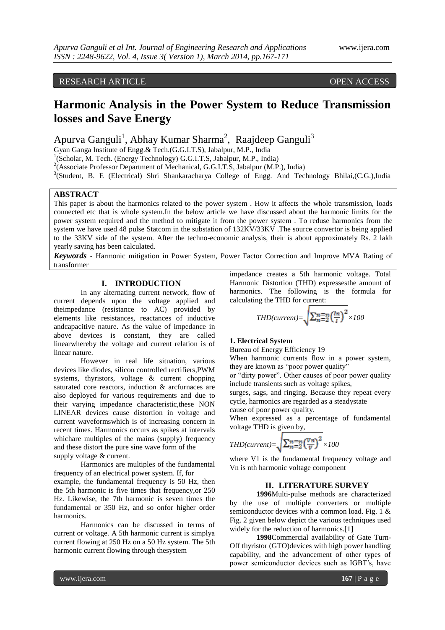# RESEARCH ARTICLE OPEN ACCESS

# **Harmonic Analysis in the Power System to Reduce Transmission losses and Save Energy**

# Apurva Ganguli<sup>1</sup>, Abhay Kumar Sharma<sup>2</sup>, Raajdeep Ganguli<sup>3</sup>

Gyan Ganga Institute of Engg.& Tech.(G.G.I.T.S), Jabalpur, M.P., India

<sup>1</sup>(Scholar, M. Tech. (Energy Technology) G.G.I.T.S, Jabalpur, M.P., India)

<sup>2</sup>(Associate Professor Department of Mechanical, G.G.I.T.S, Jabalpur (M.P.), India)

<sup>3</sup>(Student, B. E (Electrical) Shri Shankaracharya College of Engg. And Technology Bhilai,(C.G.),India

## **ABSTRACT**

This paper is about the harmonics related to the power system . How it affects the whole transmission, loads connected etc that is whole system.In the below article we have discussed about the harmonic limits for the power system required and the method to mitigate it from the power system . To reduse harmonics from the system we have used 48 pulse Statcom in the substation of 132KV/33KV .The source convertor is being applied to the 33KV side of the system. After the techno-economic analysis, their is about approximately Rs. 2 lakh yearly saving has been calculated.

*Keywords* - Harmonic mitigation in Power System, Power Factor Correction and Improve MVA Rating of transformer

### **I. INTRODUCTION**

In any alternating current network, flow of current depends upon the voltage applied and theimpedance (resistance to AC) provided by elements like resistances, reactances of inductive andcapacitive nature. As the value of impedance in above devices is constant, they are called linearwhereby the voltage and current relation is of linear nature.

However in real life situation, various devices like diodes, silicon controlled rectifiers,PWM systems, thyristors, voltage & current chopping saturated core reactors, induction & arcfurnaces are also deployed for various requirements and due to their varying impedance characteristic,these NON LINEAR devices cause distortion in voltage and current waveformswhich is of increasing concern in recent times. Harmonics occurs as spikes at intervals whichare multiples of the mains (supply) frequency and these distort the pure sine wave form of the supply voltage & current.

Harmonics are multiples of the fundamental frequency of an electrical power system. If, for example, the fundamental frequency is 50 Hz, then the 5th harmonic is five times that frequency,or 250 Hz. Likewise, the 7th harmonic is seven times the fundamental or 350 Hz, and so onfor higher order harmonics.

Harmonics can be discussed in terms of current or voltage. A 5th harmonic current is simplya current flowing at 250 Hz on a 50 Hz system. The 5th harmonic current flowing through thesystem

impedance creates a 5th harmonic voltage. Total Harmonic Distortion (THD) expressesthe amount of harmonics. The following is the formula for calculating the THD for current:

$$
THD(current) = \sqrt{\sum_{n=2}^{n} \left(\frac{ln}{I}\right)^2} \times 100
$$

# **1. Electrical System**

Bureau of Energy Efficiency 19

When harmonic currents flow in a power system, they are known as "poor power quality"

or "dirty power". Other causes of poor power quality include transients such as voltage spikes,

surges, sags, and ringing. Because they repeat every cycle, harmonics are regarded as a steadystate

cause of poor power quality.

When expressed as a percentage of fundamental voltage THD is given by,

$$
THD(current) = \sqrt{\sum_{n=2}^{n} \left(\frac{V_n}{V}\right)^2} \times 100
$$

where V1 is the fundamental frequency voltage and Vn is nth harmonic voltage component

#### **II. LITERATURE SURVEY**

**1996**Multi-pulse methods are characterized by the use of multiple converters or multiple semiconductor devices with a common load. Fig. 1 & Fig. 2 given below depict the various techniques used widely for the reduction of harmonics.[1]

**1998**Commercial availability of Gate Turn-Off thyristor (GTO)devices with high power handling capability, and the advancement of other types of power semiconductor devices such as IGBT′s, have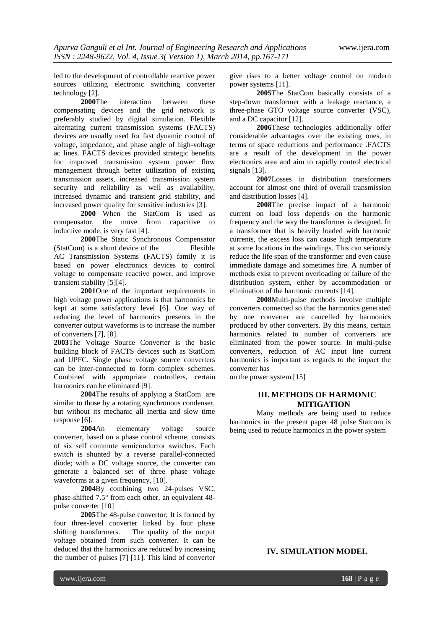led to the development of controllable reactive power sources utilizing electronic switching converter technology [2].

**2000**The interaction between these compensating devices and the grid network is preferably studied by digital simulation. Flexible alternating current transmission systems (FACTS) devices are usually used for fast dynamic control of voltage, impedance, and phase angle of high-voltage ac lines. FACTS devices provided strategic benefits for improved transmission system power flow management through better utilization of existing transmission assets, increased transmission system security and reliability as well as availability, increased dynamic and transient grid stability, and increased power quality for sensitive industries [3].

**2000** When the StatCom is used as compensator, the move from capacitive to inductive mode, is very fast [4].

**2000**The Static Synchronous Compensator (StatCom) is a shunt device of the Flexible AC Transmission Systems (FACTS) family it is based on power electronics devices to control voltage to compensate reactive power, and improve transient stability [5][4].

**2001**One of the important requirements in high voltage power applications is that harmonics be kept at some satisfactory level [6]. One way of reducing the level of harmonics presents in the converter output waveforms is to increase the number of converters [7], [8].

**2003**The Voltage Source Converter is the basic building block of FACTS devices such as StatCom and UPFC. Single phase voltage source converters can be inter-connected to form complex schemes. Combined with appropriate controllers, certain harmonics can be eliminated [9].

**2004**The results of applying a StatCom are similar to those by a rotating synchronous condenser, but without its mechanic all inertia and slow time response [6].

**2004**An elementary voltage source converter, based on a phase control scheme, consists of six self commute semiconductor switches. Each switch is shunted by a reverse parallel-connected diode; with a DC voltage source, the converter can generate a balanced set of three phase voltage waveforms at a given frequency, [10].

**2004**By combining two 24-pulses VSC, phase-shifted 7.5° from each other, an equivalent 48 pulse converter [10]

**2005**The 48-pulse convertor; It is formed by four three-level converter linked by four phase shifting transformers. The quality of the output voltage obtained from such converter. It can be deduced that the harmonics are reduced by increasing the number of pulses [7] [11]. This kind of converter give rises to a better voltage control on modern power systems [11].

**2005**The StatCom basically consists of a step-down transformer with a leakage reactance, a three-phase GTO voltage source converter (VSC), and a DC capacitor [12].

**2006**These technologies additionally offer considerable advantages over the existing ones, in terms of space reductions and performance .FACTS are a result of the development in the power electronics area and aim to rapidly control electrical signals [13].

**2007**Losses in distribution transformers account for almost one third of overall transmission and distribution losses [4].

**2008**The precise impact of a harmonic current on load loss depends on the harmonic frequency and the way the transformer is designed. In a transformer that is heavily loaded with harmonic currents, the excess loss can cause high temperature at some locations in the windings. This can seriously reduce the life span of the transformer and even cause immediate damage and sometimes fire. A number of methods exist to prevent overloading or failure of the distribution system, either by accommodation or elimination of the harmonic currents [14].

**2008**Multi-pulse methods involve multiple converters connected so that the harmonics generated by one converter are cancelled by harmonics produced by other converters. By this means, certain harmonics related to number of converters are eliminated from the power source. In multi-pulse converters, reduction of AC input line current harmonics is important as regards to the impact the converter has

on the power system.[15]

#### **III. METHODS OF HARMONIC MITIGATION**

Many methods are being used to reduce harmonics in the present paper 48 pulse Statcom is being used to reduce harmonics in the power system

**IV. SIMULATION MODEL**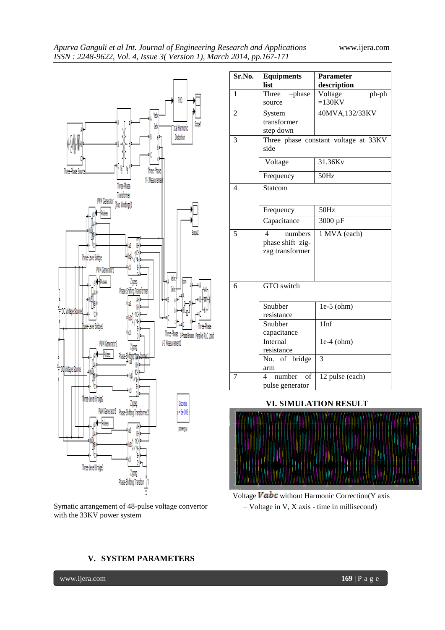

Symatic arrangement of 48-pulse voltage convertor with the 33KV power system

| Sr.No.         | <b>Equipments</b><br>list                           | <b>Parameter</b><br>description |
|----------------|-----------------------------------------------------|---------------------------------|
| 1              | Three<br>-phase<br>source                           | Voltage<br>ph-ph<br>$=130$ KV   |
| $\overline{c}$ | System<br>transformer<br>step down                  | 40MVA,132/33KV                  |
| 3              | Three phase constant voltage at 33KV<br>side        |                                 |
|                | Voltage                                             | 31.36Kv                         |
|                | Frequency                                           | 50Hz                            |
| 4              | Statcom                                             |                                 |
|                | Frequency                                           | 50Hz                            |
|                | Capacitance                                         | 3000 µF                         |
| 5              | 4<br>numbers<br>phase shift zig-<br>zag transformer | $\overline{1}$ MVA (each)       |
| 6              | GTO switch                                          |                                 |
|                | Snubber<br>resistance                               | $le-5$ (ohm)                    |
|                | Snubber<br>capacitance                              | $\overline{1\overline{Inf}}$    |
|                | Internal<br>resistance                              | $1e-4$ (ohm)                    |
|                | No. of bridge<br>arm                                | 3                               |
| 7              | number<br>of<br>4<br>pulse generator                | 12 pulse (each)                 |

#### **VI. SIMULATION RESULT**





## **V. SYSTEM PARAMETERS**

www.ijera.com **169** | P a g e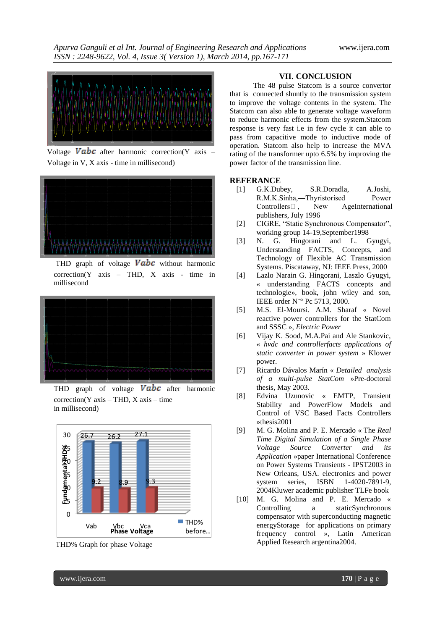

Voltage Vabc after harmonic correction(Y axis – Voltage in V, X axis - time in millisecond)



THD graph of voltage  $Vabc$  without harmonic correction(Y axis – THD, X axis - time in millisecond



THD graph of voltage  $Vabc$  after harmonic  $correction(Y axis - THD, X axis - time)$ in millisecond)



THD% Graph for phase Voltage

#### **VII. CONCLUSION**

The 48 pulse Statcom is a source convertor that is connected shuntly to the transmission system to improve the voltage contents in the system. The Statcom can also able to generate voltage waveform to reduce harmonic effects from the system.Statcom response is very fast i.e in few cycle it can able to pass from capacitive mode to inductive mode of operation. Statcom also help to increase the MVA rating of the transformer upto 6.5% by improving the power factor of the transmission line.

#### **REFERANCE**

- [1] G.K.Dubey, S.R.Doradla, A.Joshi, R.M.K.Sinha,―Thyristorised Power Controllers‖, New AgeInternational publishers, July 1996
- [2] CIGRE, "Static Synchronous Compensator", working group 14-19,September1998
- [3] N. G. Hingorani and L. Gyugyi, Understanding FACTS, Concepts, and Technology of Flexible AC Transmission Systems. Piscataway, NJ: IEEE Press, 2000
- [4] Lazlo Narain G. Hingorani, Laszlo Gyugyi, « understanding FACTS concepts and technologie», book, john wiley and son, IEEE order N¨° Pc 5713, 2000.
- [5] M.S. El-Moursi. A.M. Sharaf « Novel reactive power controllers for the StatCom and SSSC », *Electric Power*
- [6] Vijay K. Sood, M.A.Pai and Ale Stankovic, « *hvdc and controllerfacts applications of static converter in power system* » Klower power.
- [7] Ricardo Dávalos Marín « *Detailed analysis of a multi-pulse StatCom* »Pre-doctoral thesis, May 2003.
- [8] Edvina Uzunovic « EMTP, Transient Stability and PowerFlow Models and Control of VSC Based Facts Controllers »thesis2001
- [9] M. G. Molina and P. E. Mercado « The *Real Time Digital Simulation of a Single Phase Voltage Source Converter and its Application* »paper International Conference on Power Systems Transients - IPST2003 in New Orleans, USA. electronics and power system series, ISBN 1-4020-7891-9, 2004Kluwer academic publisher TLFe book
- [10] M. G. Molina and P. E. Mercado « Controlling a staticSynchronous compensator with superconducting magnetic energyStorage for applications on primary frequency control », Latin American Applied Research argentina2004.